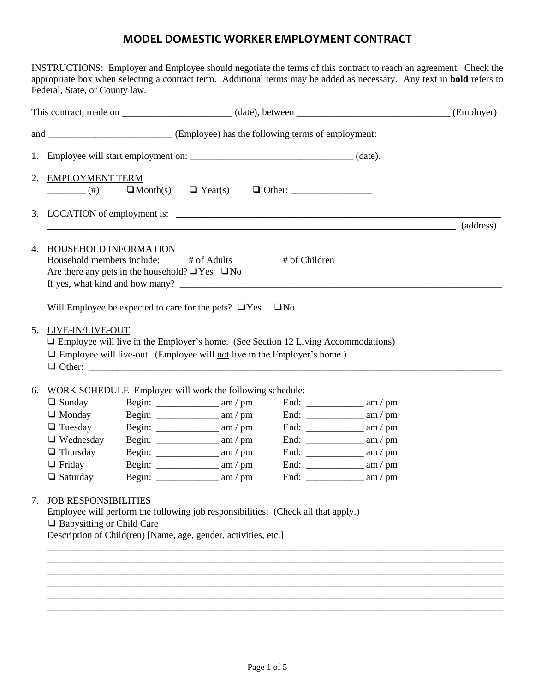# **MODEL DOMESTIC WORKER EMPLOYMENT CONTRACT**

INSTRUCTIONS: Employer and Employee should negotiate the terms of this contract to reach an agreement. Check the appropriate box when selecting a contract term. Additional terms may be added as necessary. Any text in **bold** refers to Federal, State, or County law.

|    |                                                                 |                                                                                         |                                                                                                                                                                             |           |                                                       | (Employer) |
|----|-----------------------------------------------------------------|-----------------------------------------------------------------------------------------|-----------------------------------------------------------------------------------------------------------------------------------------------------------------------------|-----------|-------------------------------------------------------|------------|
|    |                                                                 |                                                                                         |                                                                                                                                                                             |           |                                                       |            |
|    |                                                                 |                                                                                         |                                                                                                                                                                             |           |                                                       |            |
|    | 2. EMPLOYMENT TERM<br>$(\#)$                                    | $\Box$ Month(s)                                                                         |                                                                                                                                                                             |           |                                                       |            |
|    |                                                                 |                                                                                         |                                                                                                                                                                             |           | <u> 1989 - Johann Stoff, fransk politik (d. 1989)</u> | (address). |
|    | 4. HOUSEHOLD INFORMATION                                        | Household members include:<br>Are there any pets in the household? $\Box$ Yes $\Box$ No | # of Adults ______ # of Children _____                                                                                                                                      |           |                                                       |            |
|    |                                                                 |                                                                                         | Will Employee be expected to care for the pets? $\Box$ Yes                                                                                                                  | $\Box$ No |                                                       |            |
|    | 5. LIVE-IN/LIVE-OUT                                             |                                                                                         | $\Box$ Employee will live in the Employer's home. (See Section 12 Living Accommodations)<br>$\Box$ Employee will live-out. (Employee will not live in the Employer's home.) |           |                                                       |            |
| 6. | WORK SCHEDULE Employee will work the following schedule:        |                                                                                         |                                                                                                                                                                             |           |                                                       |            |
|    | $\Box$ Sunday                                                   |                                                                                         | Begin: $\frac{1}{2}$ am / pm                                                                                                                                                |           | End: $\frac{1}{2}$ am / pm                            |            |
|    | $\Box$ Monday                                                   |                                                                                         | Begin: $\frac{1}{2}$ am / pm                                                                                                                                                |           |                                                       |            |
|    | $\Box$ Tuesday<br>$\Box$ Wednesday                              |                                                                                         | Begin: $\frac{1}{2}$ am / pm                                                                                                                                                |           | End: $\frac{1}{2}$ am / pm                            |            |
|    | $\Box$ Thursday                                                 |                                                                                         | Begin: $\frac{1}{2}$ am / pm<br>Begin: $\frac{1}{2}$ am / pm                                                                                                                |           |                                                       |            |
|    | $\Box$ Friday                                                   |                                                                                         |                                                                                                                                                                             |           |                                                       |            |
|    | $\Box$ Saturday                                                 |                                                                                         | Begin: $\frac{1}{2}$ am / pm                                                                                                                                                |           |                                                       |            |
| 7. | <b>JOB RESPONSIBILITIES</b><br>$\Box$ Babysitting or Child Care |                                                                                         | Employee will perform the following job responsibilities: (Check all that apply.)<br>Description of Child(ren) [Name, age, gender, activities, etc.]                        |           |                                                       |            |

\_\_\_\_\_\_\_\_\_\_\_\_\_\_\_\_\_\_\_\_\_\_\_\_\_\_\_\_\_\_\_\_\_\_\_\_\_\_\_\_\_\_\_\_\_\_\_\_\_\_\_\_\_\_\_\_\_\_\_\_\_\_\_\_\_\_\_\_\_\_\_\_\_\_\_\_\_\_\_\_\_\_\_\_\_\_\_ \_\_\_\_\_\_\_\_\_\_\_\_\_\_\_\_\_\_\_\_\_\_\_\_\_\_\_\_\_\_\_\_\_\_\_\_\_\_\_\_\_\_\_\_\_\_\_\_\_\_\_\_\_\_\_\_\_\_\_\_\_\_\_\_\_\_\_\_\_\_\_\_\_\_\_\_\_\_\_\_\_\_\_\_\_\_\_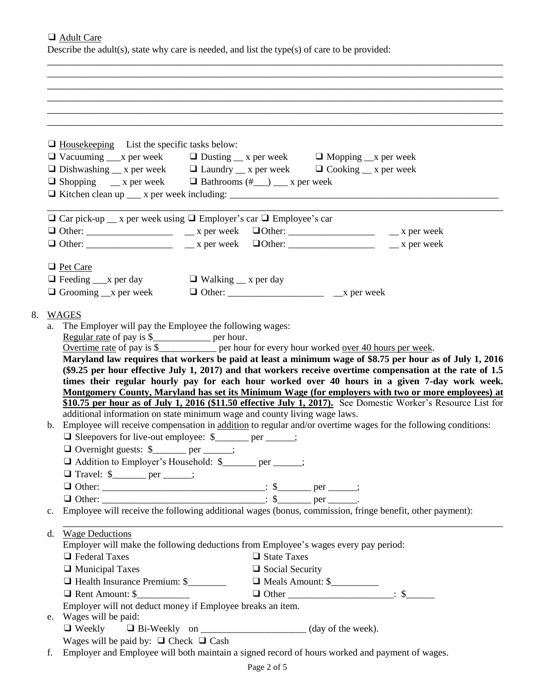❑ Adult Care

8. WAGES

Describe the adult(s), state why care is needed, and list the type(s) of care to be provided:

\_\_\_\_\_\_\_\_\_\_\_\_\_\_\_\_\_\_\_\_\_\_\_\_\_\_\_\_\_\_\_\_\_\_\_\_\_\_\_\_\_\_\_\_\_\_\_\_\_\_\_\_\_\_\_\_\_\_\_\_\_\_\_\_\_\_\_\_\_\_\_\_\_\_\_\_\_\_\_\_\_\_\_\_\_\_\_

|                 | $\Box$ House keeping List the specific tasks below:                                                                                                                                                                                                                                                   |
|-----------------|-------------------------------------------------------------------------------------------------------------------------------------------------------------------------------------------------------------------------------------------------------------------------------------------------------|
|                 | $\Box$ Vacuuming $\Box$ x per week $\Box$ Dusting $\Box$ x per week $\Box$ Mopping $\Box$ x per week                                                                                                                                                                                                  |
|                 | $\Box$ Dishwashing $\Box$ x per week $\Box$ Laundry $\Box$ x per week $\Box$ Cooking $\Box$ x per week                                                                                                                                                                                                |
|                 | $\Box$ Shopping __ x per week $\Box$ Bathrooms (#__) __ x per week                                                                                                                                                                                                                                    |
|                 |                                                                                                                                                                                                                                                                                                       |
|                 | $\Box$ Car pick-up $\Box$ x per week using $\Box$ Employer's car $\Box$ Employee's car                                                                                                                                                                                                                |
|                 |                                                                                                                                                                                                                                                                                                       |
|                 |                                                                                                                                                                                                                                                                                                       |
|                 |                                                                                                                                                                                                                                                                                                       |
| <b>Pet Care</b> |                                                                                                                                                                                                                                                                                                       |
|                 | $\Box$ Feeding $\Box$ x per day $\Box$ Walking $\Box$ x per day                                                                                                                                                                                                                                       |
|                 | $\Box$ Grooming $\Box$ x per week                                                                                                                                                                                                                                                                     |
|                 |                                                                                                                                                                                                                                                                                                       |
| <b>WAGES</b>    |                                                                                                                                                                                                                                                                                                       |
| a.              | The Employer will pay the Employee the following wages:                                                                                                                                                                                                                                               |
|                 | Regular rate of pay is \$________________ per hour.                                                                                                                                                                                                                                                   |
|                 | Overtime rate of pay is \$______________ per hour for every hour worked <u>over 40 hours per week</u> .                                                                                                                                                                                               |
|                 | Maryland law requires that workers be paid at least a minimum wage of \$8.75 per hour as of July 1, 2016                                                                                                                                                                                              |
|                 | (\$9.25 per hour effective July 1, 2017) and that workers receive overtime compensation at the rate of 1.5                                                                                                                                                                                            |
|                 |                                                                                                                                                                                                                                                                                                       |
|                 | times their regular hourly pay for each hour worked over 40 hours in a given 7-day work week.                                                                                                                                                                                                         |
|                 | Montgomery County, Maryland has set its Minimum Wage (for employers with two or more employees) at                                                                                                                                                                                                    |
|                 |                                                                                                                                                                                                                                                                                                       |
|                 | additional information on state minimum wage and county living wage laws.                                                                                                                                                                                                                             |
|                 | \$10.75 per hour as of July 1, 2016 (\$11.50 effective July 1, 2017). See Domestic Worker's Resource List for<br>b. Employee will receive compensation in addition to regular and/or overtime wages for the following conditions:<br>$\Box$ Sleepovers for live-out employee: $\frac{1}{2}$ per ____; |
|                 |                                                                                                                                                                                                                                                                                                       |
|                 | Overnight guests: \$______ per ____;                                                                                                                                                                                                                                                                  |
|                 | □ Addition to Employer's Household: \$<br>yer _____;                                                                                                                                                                                                                                                  |
|                 | $\Box$ Travel: \$______ per ____;                                                                                                                                                                                                                                                                     |
|                 |                                                                                                                                                                                                                                                                                                       |
| $\mathbf{c}$ .  | Employee will receive the following additional wages (bonus, commission, fringe benefit, other payment):                                                                                                                                                                                              |
|                 |                                                                                                                                                                                                                                                                                                       |
| d.              | <b>Wage Deductions</b>                                                                                                                                                                                                                                                                                |
|                 | Employer will make the following deductions from Employee's wages every pay period:                                                                                                                                                                                                                   |
|                 | $\Box$ Federal Taxes<br>$\Box$ State Taxes                                                                                                                                                                                                                                                            |
|                 | $\Box$ Municipal Taxes<br>$\Box$ Social Security                                                                                                                                                                                                                                                      |
|                 | Meals Amount: \$<br>□ Health Insurance Premium: \$                                                                                                                                                                                                                                                    |
|                 | Rent Amount: \$                                                                                                                                                                                                                                                                                       |
|                 | Employer will not deduct money if Employee breaks an item.                                                                                                                                                                                                                                            |
|                 | e. Wages will be paid:                                                                                                                                                                                                                                                                                |
|                 |                                                                                                                                                                                                                                                                                                       |
|                 | Wages will be paid by: $\Box$ Check $\Box$ Cash<br>f. Employer and Employee will both maintain a signed record of hours worked and payment of wages.                                                                                                                                                  |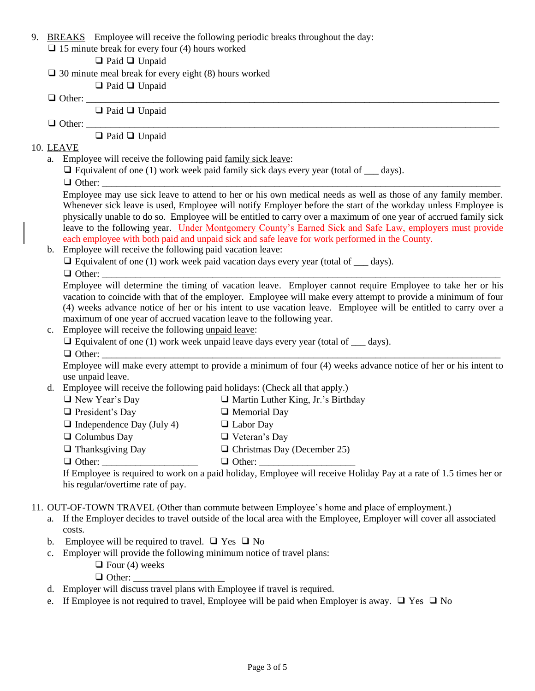- 9. BREAKS Employee will receive the following periodic breaks throughout the day:
	- $\Box$  15 minute break for every four (4) hours worked
		- ❑ Paid ❑ Unpaid
	- $\Box$  30 minute meal break for every eight (8) hours worked

❑ Paid ❑ Unpaid

❑ Other: \_\_\_\_\_\_\_\_\_\_\_\_\_\_\_\_\_\_\_\_\_\_\_\_\_\_\_\_\_\_\_\_\_\_\_\_\_\_\_\_\_\_\_\_\_\_\_\_\_\_\_\_\_\_\_\_\_\_\_\_\_\_\_\_\_\_\_\_\_\_\_\_\_\_\_\_\_\_\_\_\_\_\_\_\_\_

❑ Paid ❑ Unpaid

❑ Other: \_\_\_\_\_\_\_\_\_\_\_\_\_\_\_\_\_\_\_\_\_\_\_\_\_\_\_\_\_\_\_\_\_\_\_\_\_\_\_\_\_\_\_\_\_\_\_\_\_\_\_\_\_\_\_\_\_\_\_\_\_\_\_\_\_\_\_\_\_\_\_\_\_\_\_\_\_\_\_\_\_\_\_\_\_\_

❑ Paid ❑ Unpaid

## 10. LEAVE

- a. Employee will receive the following paid family sick leave:
	- $\Box$  Equivalent of one (1) work week paid family sick days every year (total of days).
	- ❑ Other: \_\_\_\_\_\_\_\_\_\_\_\_\_\_\_\_\_\_\_\_\_\_\_\_\_\_\_\_\_\_\_\_\_\_\_\_\_\_\_\_\_\_\_\_\_\_\_\_\_\_\_\_\_\_\_\_\_\_\_\_\_\_\_\_\_\_\_\_\_\_\_\_\_\_\_\_\_\_\_\_\_\_\_

Employee may use sick leave to attend to her or his own medical needs as well as those of any family member. Whenever sick leave is used, Employee will notify Employer before the start of the workday unless Employee is physically unable to do so. Employee will be entitled to carry over a maximum of one year of accrued family sick leave to the following year. Under Montgomery County's Earned Sick and Safe Law, employers must provide each employee with both paid and unpaid sick and safe leave for work performed in the County.

b. Employee will receive the following paid vacation leave:

 $\Box$  Equivalent of one (1) work week paid vacation days every year (total of  $\Box$  days).

❑ Other: \_\_\_\_\_\_\_\_\_\_\_\_\_\_\_\_\_\_\_\_\_\_\_\_\_\_\_\_\_\_\_\_\_\_\_\_\_\_\_\_\_\_\_\_\_\_\_\_\_\_\_\_\_\_\_\_\_\_\_\_\_\_\_\_\_\_\_\_\_\_\_\_\_\_\_\_\_\_\_\_\_\_\_

Employee will determine the timing of vacation leave. Employer cannot require Employee to take her or his vacation to coincide with that of the employer. Employee will make every attempt to provide a minimum of four (4) weeks advance notice of her or his intent to use vacation leave. Employee will be entitled to carry over a maximum of one year of accrued vacation leave to the following year.

- c. Employee will receive the following unpaid leave:
	- $\Box$  Equivalent of one (1) work week unpaid leave days every year (total of days). ❑ Other: \_\_\_\_\_\_\_\_\_\_\_\_\_\_\_\_\_\_\_\_\_\_\_\_\_\_\_\_\_\_\_\_\_\_\_\_\_\_\_\_\_\_\_\_\_\_\_\_\_\_\_\_\_\_\_\_\_\_\_\_\_\_\_\_\_\_\_\_\_\_\_\_\_\_\_\_\_\_\_\_\_\_\_
		-

Employee will make every attempt to provide a minimum of four (4) weeks advance notice of her or his intent to use unpaid leave.

d. Employee will receive the following paid holidays: (Check all that apply.)

| $\Box$ New Year's Day            | $\Box$ Martin Luther King, Jr.'s Birthday                                      |
|----------------------------------|--------------------------------------------------------------------------------|
| $\Box$ President's Day           | $\Box$ Memorial Day                                                            |
| $\Box$ Independence Day (July 4) | $\Box$ Labor Day                                                               |
| $\Box$ Columbus Day              | $\Box$ Veteran's Day                                                           |
| $\Box$ Thanksgiving Day          | $\Box$ Christmas Day (December 25)                                             |
| $\Box$ Other:                    | $\Box$ Other:                                                                  |
|                                  | If Employee is required to work on a paid holiday, Employee will receive Holid |

oliday Pay at a rate of 1.5 times her or his regular/overtime rate of pay.

# 11. OUT-OF-TOWN TRAVEL (Other than commute between Employee's home and place of employment.)

- a. If the Employer decides to travel outside of the local area with the Employee, Employer will cover all associated costs.
- b. Employee will be required to travel.  $\Box$  Yes  $\Box$  No
- c. Employer will provide the following minimum notice of travel plans:
	- $\Box$  Four (4) weeks

 $\Box$  Other:

- d. Employer will discuss travel plans with Employee if travel is required.
- e. If Employee is not required to travel, Employee will be paid when Employer is away.  $\Box$  Yes  $\Box$  No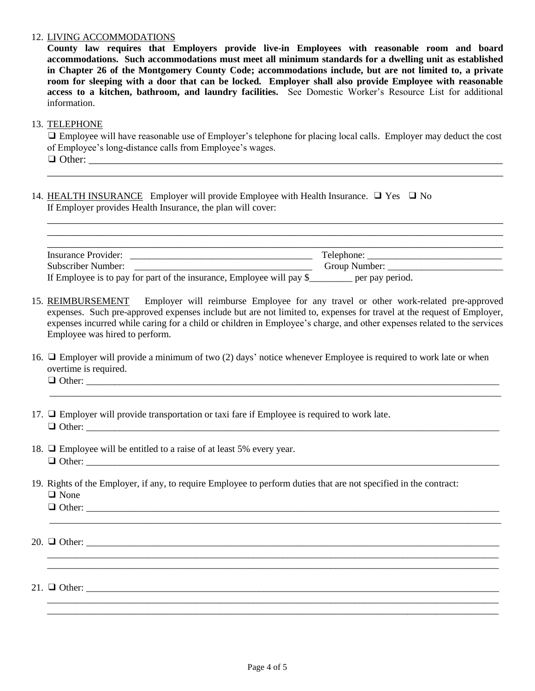#### 12. LIVING ACCOMMODATIONS

**County law requires that Employers provide live-in Employees with reasonable room and board accommodations. Such accommodations must meet all minimum standards for a dwelling unit as established in Chapter 26 of the Montgomery County Code; accommodations include, but are not limited to, a private room for sleeping with a door that can be locked. Employer shall also provide Employee with reasonable access to a kitchen, bathroom, and laundry facilities.** See Domestic Worker's Resource List for additional information.

#### 13. TELEPHONE

❑ Employee will have reasonable use of Employer's telephone for placing local calls. Employer may deduct the cost of Employee's long-distance calls from Employee's wages. ❑ Other: \_\_\_\_\_\_\_\_\_\_\_\_\_\_\_\_\_\_\_\_\_\_\_\_\_\_\_\_\_\_\_\_\_\_\_\_\_\_\_\_\_\_\_\_\_\_\_\_\_\_\_\_\_\_\_\_\_\_\_\_\_\_\_\_\_\_\_\_\_\_\_\_\_\_\_\_\_\_\_

\_\_\_\_\_\_\_\_\_\_\_\_\_\_\_\_\_\_\_\_\_\_\_\_\_\_\_\_\_\_\_\_\_\_\_\_\_\_\_\_\_\_\_\_\_\_\_\_\_\_\_\_\_\_\_\_\_\_\_\_\_\_\_\_\_\_\_\_\_\_\_\_\_\_\_\_\_\_\_\_\_\_\_\_\_\_\_

\_\_\_\_\_\_\_\_\_\_\_\_\_\_\_\_\_\_\_\_\_\_\_\_\_\_\_\_\_\_\_\_\_\_\_\_\_\_\_\_\_\_\_\_\_\_\_\_\_\_\_\_\_\_\_\_\_\_\_\_\_\_\_\_\_\_\_\_\_\_\_\_\_\_\_\_\_\_\_\_\_\_\_\_\_\_\_ \_\_\_\_\_\_\_\_\_\_\_\_\_\_\_\_\_\_\_\_\_\_\_\_\_\_\_\_\_\_\_\_\_\_\_\_\_\_\_\_\_\_\_\_\_\_\_\_\_\_\_\_\_\_\_\_\_\_\_\_\_\_\_\_\_\_\_\_\_\_\_\_\_\_\_\_\_\_\_\_\_\_\_\_\_\_\_

14. HEALTH INSURANCE Employer will provide Employee with Health Insurance. ❑ Yes ❑ No If Employer provides Health Insurance, the plan will cover:

| Insurance Provider:                                                   | Telephone:      |
|-----------------------------------------------------------------------|-----------------|
| <b>Subscriber Number:</b>                                             | Group Number:   |
| If Employee is to pay for part of the insurance, Employee will pay \$ | per pay period. |

- 15. REIMBURSEMENT Employer will reimburse Employee for any travel or other work-related pre-approved expenses. Such pre-approved expenses include but are not limited to, expenses for travel at the request of Employer, expenses incurred while caring for a child or children in Employee's charge, and other expenses related to the services Employee was hired to perform.
- 16. ❑ Employer will provide a minimum of two (2) days' notice whenever Employee is required to work late or when overtime is required.

\_\_\_\_\_\_\_\_\_\_\_\_\_\_\_\_\_\_\_\_\_\_\_\_\_\_\_\_\_\_\_\_\_\_\_\_\_\_\_\_\_\_\_\_\_\_\_\_\_\_\_\_\_\_\_\_\_\_\_\_\_\_\_\_\_\_\_\_\_\_\_\_\_\_\_\_\_\_\_\_\_\_\_\_\_\_\_\_\_\_\_\_\_\_

\_\_\_\_\_\_\_\_\_\_\_\_\_\_\_\_\_\_\_\_\_\_\_\_\_\_\_\_\_\_\_\_\_\_\_\_\_\_\_\_\_\_\_\_\_\_\_\_\_\_\_\_\_\_\_\_\_\_\_\_\_\_\_\_\_\_\_\_\_\_\_\_\_\_\_\_\_\_\_\_\_\_\_\_\_\_\_\_\_\_\_\_\_\_

\_\_\_\_\_\_\_\_\_\_\_\_\_\_\_\_\_\_\_\_\_\_\_\_\_\_\_\_\_\_\_\_\_\_\_\_\_\_\_\_\_\_\_\_\_\_\_\_\_\_\_\_\_\_\_\_\_\_\_\_\_\_\_\_\_\_\_\_\_\_\_\_\_\_\_\_\_\_\_\_\_\_\_\_\_\_\_\_\_\_\_\_\_\_ \_\_\_\_\_\_\_\_\_\_\_\_\_\_\_\_\_\_\_\_\_\_\_\_\_\_\_\_\_\_\_\_\_\_\_\_\_\_\_\_\_\_\_\_\_\_\_\_\_\_\_\_\_\_\_\_\_\_\_\_\_\_\_\_\_\_\_\_\_\_\_\_\_\_\_\_\_\_\_\_\_\_\_\_\_\_\_\_\_\_\_\_\_\_

\_\_\_\_\_\_\_\_\_\_\_\_\_\_\_\_\_\_\_\_\_\_\_\_\_\_\_\_\_\_\_\_\_\_\_\_\_\_\_\_\_\_\_\_\_\_\_\_\_\_\_\_\_\_\_\_\_\_\_\_\_\_\_\_\_\_\_\_\_\_\_\_\_\_\_\_\_\_\_\_\_\_\_\_\_\_\_\_\_\_\_\_\_\_ \_\_\_\_\_\_\_\_\_\_\_\_\_\_\_\_\_\_\_\_\_\_\_\_\_\_\_\_\_\_\_\_\_\_\_\_\_\_\_\_\_\_\_\_\_\_\_\_\_\_\_\_\_\_\_\_\_\_\_\_\_\_\_\_\_\_\_\_\_\_\_\_\_\_\_\_\_\_\_\_\_\_\_\_\_\_\_\_\_\_\_\_\_\_

- ❑ Other: \_\_\_\_\_\_\_\_\_\_\_\_\_\_\_\_\_\_\_\_\_\_\_\_\_\_\_\_\_\_\_\_\_\_\_\_\_\_\_\_\_\_\_\_\_\_\_\_\_\_\_\_\_\_\_\_\_\_\_\_\_\_\_\_\_\_\_\_\_\_\_\_\_\_\_\_\_\_\_\_\_\_\_\_\_\_
- 17. ❑ Employer will provide transportation or taxi fare if Employee is required to work late. ❑ Other: \_\_\_\_\_\_\_\_\_\_\_\_\_\_\_\_\_\_\_\_\_\_\_\_\_\_\_\_\_\_\_\_\_\_\_\_\_\_\_\_\_\_\_\_\_\_\_\_\_\_\_\_\_\_\_\_\_\_\_\_\_\_\_\_\_\_\_\_\_\_\_\_\_\_\_\_\_\_\_\_\_\_\_\_\_\_
- 18. ❑ Employee will be entitled to a raise of at least 5% every year.  $\Box$  Other:
- 19. Rights of the Employer, if any, to require Employee to perform duties that are not specified in the contract:
	- ❑ None

❑ Other: \_\_\_\_\_\_\_\_\_\_\_\_\_\_\_\_\_\_\_\_\_\_\_\_\_\_\_\_\_\_\_\_\_\_\_\_\_\_\_\_\_\_\_\_\_\_\_\_\_\_\_\_\_\_\_\_\_\_\_\_\_\_\_\_\_\_\_\_\_\_\_\_\_\_\_\_\_\_\_\_\_\_\_\_\_\_

 $20. \Box$  Other:

21.  $\Box$  Other: